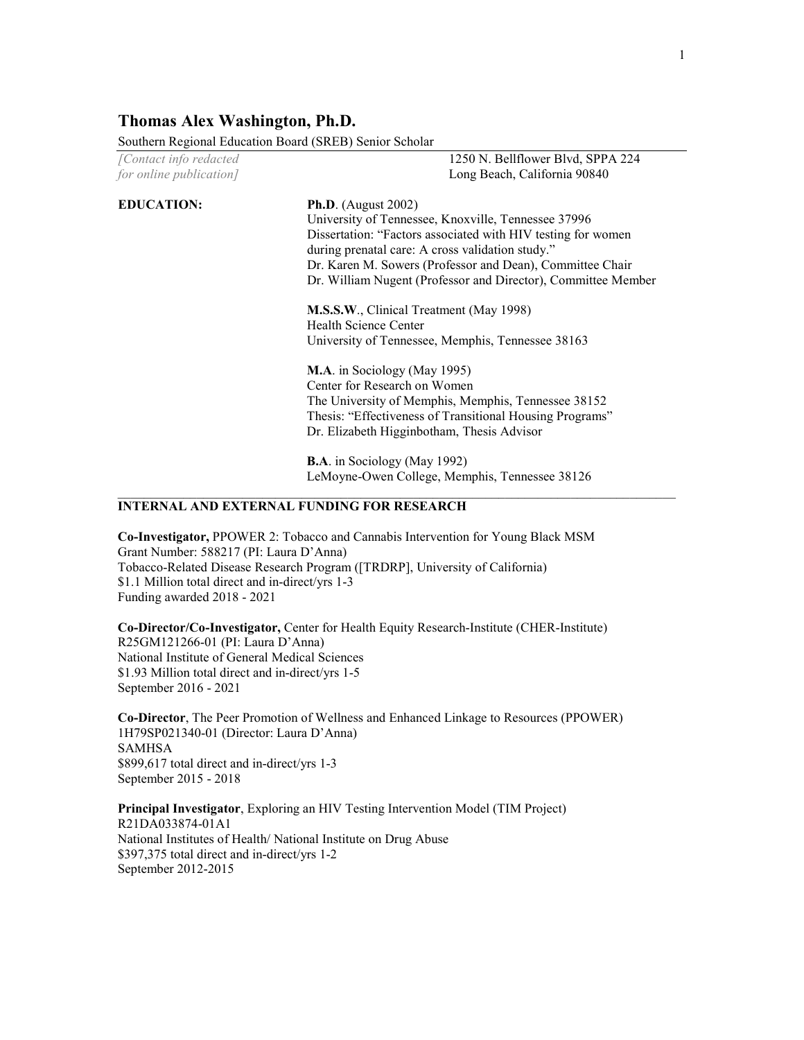# **Thomas Alex Washington, Ph.D.**

Southern Regional Education Board (SREB) Senior Scholar

*[Contact info redacted for online publication]*

1250 N. Bellflower Blvd, SPPA 224 Long Beach, California 90840

| <b>EDUCATION:</b> | <b>Ph.D.</b> (August $2002$ )<br>University of Tennessee, Knoxville, Tennessee 37996<br>Dissertation: "Factors associated with HIV testing for women<br>during prenatal care: A cross validation study."<br>Dr. Karen M. Sowers (Professor and Dean), Committee Chair<br>Dr. William Nugent (Professor and Director), Committee Member |
|-------------------|----------------------------------------------------------------------------------------------------------------------------------------------------------------------------------------------------------------------------------------------------------------------------------------------------------------------------------------|
|                   | M.S.S.W., Clinical Treatment (May 1998)<br>Health Science Center<br>University of Tennessee, Memphis, Tennessee 38163                                                                                                                                                                                                                  |
|                   | M.A. in Sociology (May 1995)<br>Center for Research on Women<br>The University of Memphis, Memphis, Tennessee 38152<br>Thesis: "Effectiveness of Transitional Housing Programs"<br>Dr. Elizabeth Higginbotham, Thesis Advisor                                                                                                          |
|                   | <b>B.A.</b> in Sociology (May 1992)<br>LeMoyne-Owen College, Memphis, Tennessee 38126                                                                                                                                                                                                                                                  |

# **INTERNAL AND EXTERNAL FUNDING FOR RESEARCH**

**Co-Investigator,** PPOWER 2: Tobacco and Cannabis Intervention for Young Black MSM Grant Number: 588217 (PI: Laura D'Anna) Tobacco-Related Disease Research Program ([TRDRP], University of California) \$1.1 Million total direct and in-direct/yrs 1-3 Funding awarded 2018 - 2021

**Co-Director/Co-Investigator,** Center for Health Equity Research-Institute (CHER-Institute) R25GM121266-01 (PI: Laura D'Anna) National Institute of General Medical Sciences \$1.93 Million total direct and in-direct/yrs 1-5 September 2016 - 2021

**Co-Director**, The Peer Promotion of Wellness and Enhanced Linkage to Resources (PPOWER) 1H79SP021340-01 (Director: Laura D'Anna) SAMHSA \$899,617 total direct and in-direct/yrs 1-3 September 2015 - 2018

**Principal Investigator**, Exploring an HIV Testing Intervention Model (TIM Project) R21DA033874-01A1 National Institutes of Health/ National Institute on Drug Abuse \$397,375 total direct and in-direct/yrs 1-2 September 2012-2015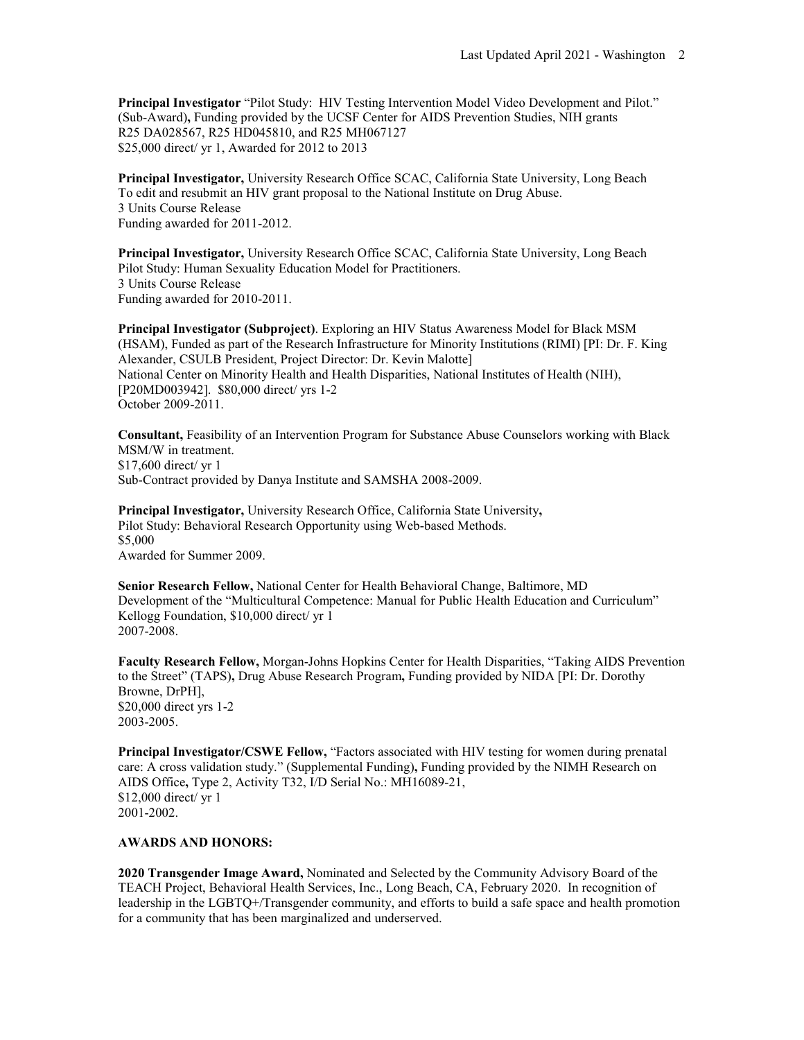**Principal Investigator** "Pilot Study: HIV Testing Intervention Model Video Development and Pilot." (Sub-Award)**,** Funding provided by the UCSF Center for AIDS Prevention Studies, NIH grants R25 DA028567, R25 HD045810, and R25 MH067127 \$25,000 direct/ yr 1, Awarded for 2012 to 2013

**Principal Investigator,** University Research Office SCAC, California State University, Long Beach To edit and resubmit an HIV grant proposal to the National Institute on Drug Abuse. 3 Units Course Release Funding awarded for 2011-2012.

**Principal Investigator,** University Research Office SCAC, California State University, Long Beach Pilot Study: Human Sexuality Education Model for Practitioners. 3 Units Course Release Funding awarded for 2010-2011.

**Principal Investigator (Subproject)**. Exploring an HIV Status Awareness Model for Black MSM (HSAM), Funded as part of the Research Infrastructure for Minority Institutions (RIMI) [PI: Dr. F. King Alexander, CSULB President, Project Director: Dr. Kevin Malotte] National Center on Minority Health and Health Disparities, National Institutes of Health (NIH), [P20MD003942]. \$80,000 direct/ yrs 1-2 October 2009-2011.

**Consultant,** Feasibility of an Intervention Program for Substance Abuse Counselors working with Black MSM/W in treatment. \$17,600 direct/ yr 1 Sub-Contract provided by Danya Institute and SAMSHA 2008-2009.

**Principal Investigator,** University Research Office, California State University**,**  Pilot Study: Behavioral Research Opportunity using Web-based Methods. \$5,000 Awarded for Summer 2009.

**Senior Research Fellow,** National Center for Health Behavioral Change, Baltimore, MD Development of the "Multicultural Competence: Manual for Public Health Education and Curriculum" Kellogg Foundation, \$10,000 direct/ yr 1 2007-2008.

**Faculty Research Fellow,** Morgan-Johns Hopkins Center for Health Disparities, "Taking AIDS Prevention to the Street" (TAPS)**,** Drug Abuse Research Program**,** Funding provided by NIDA [PI: Dr. Dorothy Browne, DrPH], \$20,000 direct yrs 1-2 2003-2005.

**Principal Investigator/CSWE Fellow,** "Factors associated with HIV testing for women during prenatal care: A cross validation study." (Supplemental Funding)**,** Funding provided by the NIMH Research on AIDS Office**,** Type 2, Activity T32, I/D Serial No.: MH16089-21, \$12,000 direct/ yr 1 2001-2002.

## **AWARDS AND HONORS:**

**2020 Transgender Image Award,** Nominated and Selected by the Community Advisory Board of the TEACH Project, Behavioral Health Services, Inc., Long Beach, CA, February 2020. In recognition of leadership in the LGBTQ+/Transgender community, and efforts to build a safe space and health promotion for a community that has been marginalized and underserved.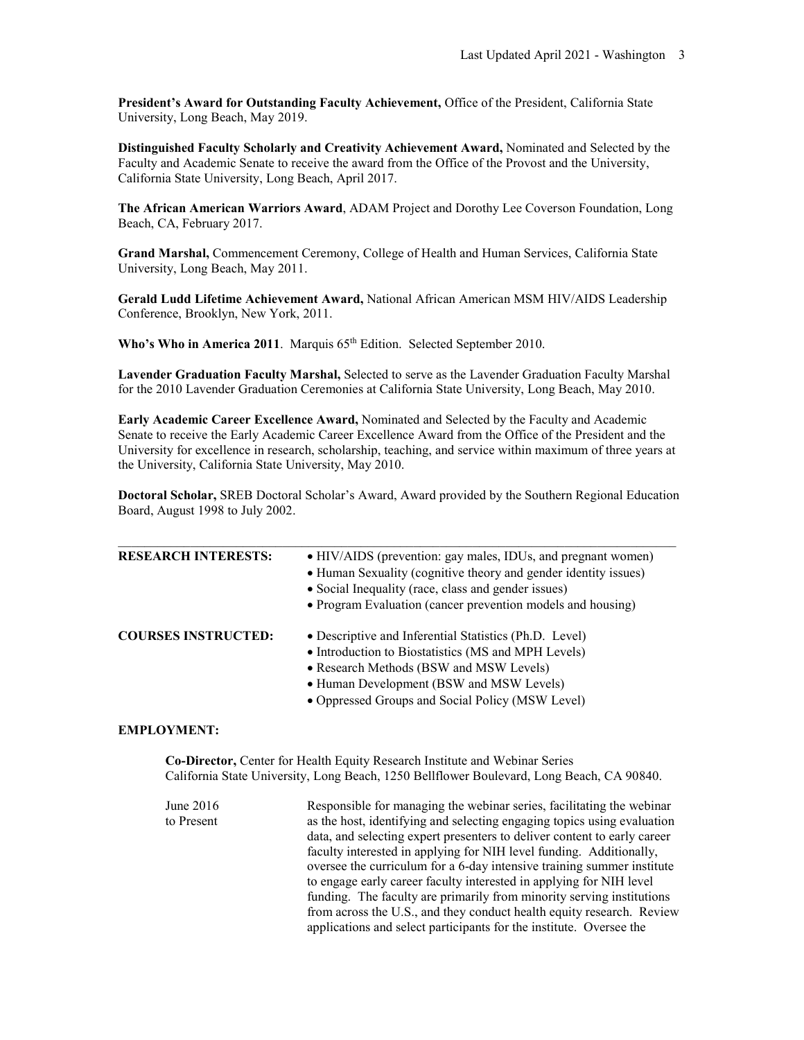**President's Award for Outstanding Faculty Achievement,** Office of the President, California State University, Long Beach, May 2019.

**Distinguished Faculty Scholarly and Creativity Achievement Award,** Nominated and Selected by the Faculty and Academic Senate to receive the award from the Office of the Provost and the University, California State University, Long Beach, April 2017.

**The African American Warriors Award**, ADAM Project and Dorothy Lee Coverson Foundation, Long Beach, CA, February 2017.

**Grand Marshal,** Commencement Ceremony, College of Health and Human Services, California State University, Long Beach, May 2011.

**Gerald Ludd Lifetime Achievement Award,** National African American MSM HIV/AIDS Leadership Conference, Brooklyn, New York, 2011.

Who's Who in America 2011. Marquis 65<sup>th</sup> Edition. Selected September 2010.

**Lavender Graduation Faculty Marshal,** Selected to serve as the Lavender Graduation Faculty Marshal for the 2010 Lavender Graduation Ceremonies at California State University, Long Beach, May 2010.

**Early Academic Career Excellence Award,** Nominated and Selected by the Faculty and Academic Senate to receive the Early Academic Career Excellence Award from the Office of the President and the University for excellence in research, scholarship, teaching, and service within maximum of three years at the University, California State University, May 2010.

**Doctoral Scholar,** SREB Doctoral Scholar's Award, Award provided by the Southern Regional Education Board, August 1998 to July 2002.

| • HIV/AIDS (prevention: gay males, IDUs, and pregnant women)<br>• Human Sexuality (cognitive theory and gender identity issues)<br>• Social Inequality (race, class and gender issues) |
|----------------------------------------------------------------------------------------------------------------------------------------------------------------------------------------|
| • Program Evaluation (cancer prevention models and housing)                                                                                                                            |
| • Descriptive and Inferential Statistics (Ph.D. Level)                                                                                                                                 |
| • Introduction to Biostatistics (MS and MPH Levels)                                                                                                                                    |
| • Research Methods (BSW and MSW Levels)                                                                                                                                                |
| • Human Development (BSW and MSW Levels)                                                                                                                                               |
| • Oppressed Groups and Social Policy (MSW Level)                                                                                                                                       |
|                                                                                                                                                                                        |

## **EMPLOYMENT:**

**Co-Director,** Center for Health Equity Research Institute and Webinar Series California State University, Long Beach, 1250 Bellflower Boulevard, Long Beach, CA 90840.

June 2016 Responsible for managing the webinar series, facilitating the webinar to Present as the host, identifying and selecting engaging topics using evaluation data, and selecting expert presenters to deliver content to early career faculty interested in applying for NIH level funding. Additionally, oversee the curriculum for a 6-day intensive training summer institute to engage early career faculty interested in applying for NIH level funding. The faculty are primarily from minority serving institutions from across the U.S., and they conduct health equity research. Review applications and select participants for the institute. Oversee the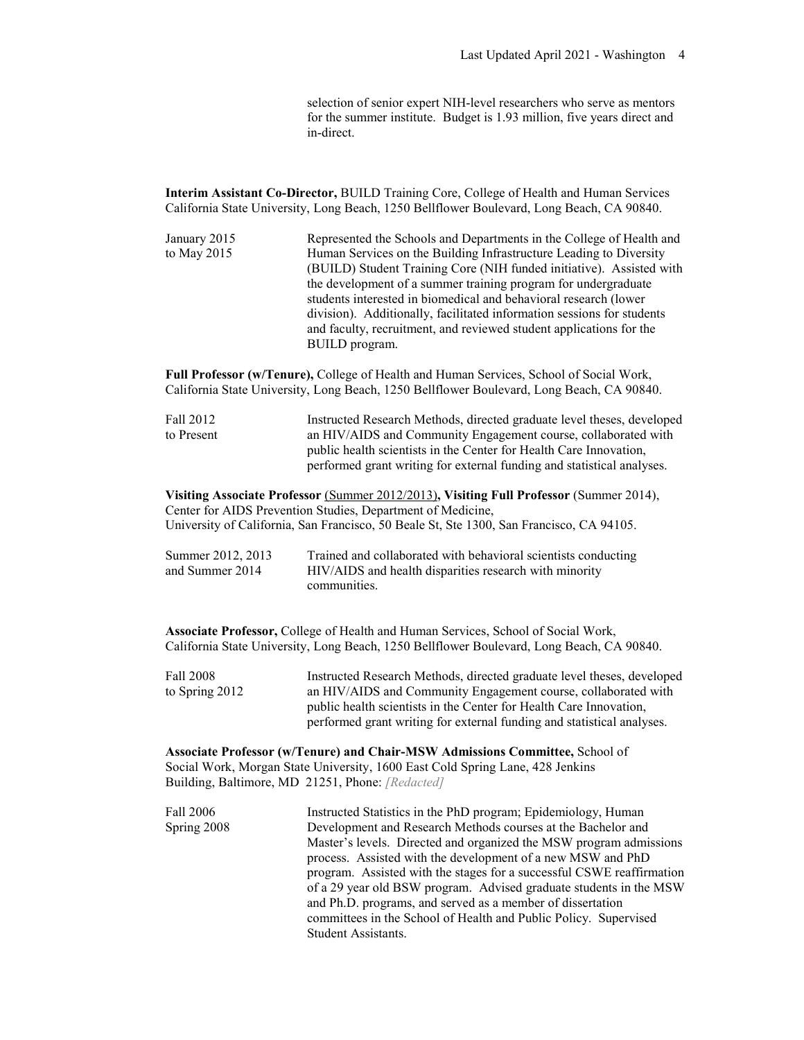selection of senior expert NIH-level researchers who serve as mentors for the summer institute. Budget is 1.93 million, five years direct and in-direct.

**Interim Assistant Co-Director,** BUILD Training Core, College of Health and Human Services California State University, Long Beach, 1250 Bellflower Boulevard, Long Beach, CA 90840.

January 2015 Represented the Schools and Departments in the College of Health and to May 2015 Human Services on the Building Infrastructure Leading to Diversity (BUILD) Student Training Core (NIH funded initiative). Assisted with the development of a summer training program for undergraduate students interested in biomedical and behavioral research (lower division). Additionally, facilitated information sessions for students and faculty, recruitment, and reviewed student applications for the BUILD program.

**Full Professor (w/Tenure),** College of Health and Human Services, School of Social Work, California State University, Long Beach, 1250 Bellflower Boulevard, Long Beach, CA 90840.

Fall 2012 Instructed Research Methods, directed graduate level theses, developed to Present an HIV/AIDS and Community Engagement course, collaborated with public health scientists in the Center for Health Care Innovation, performed grant writing for external funding and statistical analyses.

**Visiting Associate Professor** (Summer 2012/2013)**, Visiting Full Professor** (Summer 2014), Center for AIDS Prevention Studies, Department of Medicine, University of California, San Francisco, 50 Beale St, Ste 1300, San Francisco, CA 94105.

Summer 2012, 2013 Trained and collaborated with behavioral scientists conducting and Summer 2014 HIV/AIDS and health disparities research with minority communities.

**Associate Professor,** College of Health and Human Services, School of Social Work, California State University, Long Beach, 1250 Bellflower Boulevard, Long Beach, CA 90840.

Fall 2008 Instructed Research Methods, directed graduate level theses, developed to Spring 2012 an HIV/AIDS and Community Engagement course, collaborated with public health scientists in the Center for Health Care Innovation, performed grant writing for external funding and statistical analyses.

**Associate Professor (w/Tenure) and Chair-MSW Admissions Committee,** School of Social Work, Morgan State University, 1600 East Cold Spring Lane, 428 Jenkins Building, Baltimore, MD 21251, Phone: *[Redacted]*

Fall 2006 **Instructed Statistics in the PhD program**; Epidemiology, Human Spring 2008 Development and Research Methods courses at the Bachelor and Master's levels. Directed and organized the MSW program admissions process. Assisted with the development of a new MSW and PhD program. Assisted with the stages for a successful CSWE reaffirmation of a 29 year old BSW program. Advised graduate students in the MSW and Ph.D. programs, and served as a member of dissertation committees in the School of Health and Public Policy. Supervised Student Assistants.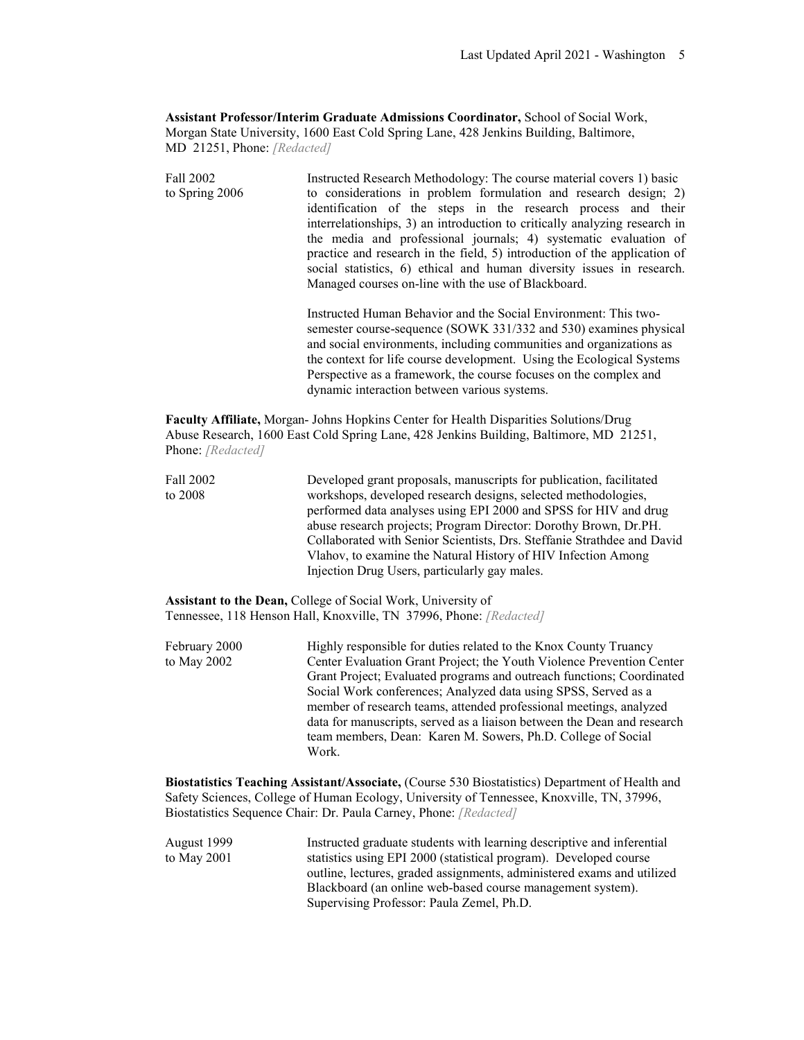**Assistant Professor/Interim Graduate Admissions Coordinator,** School of Social Work, Morgan State University, 1600 East Cold Spring Lane, 428 Jenkins Building, Baltimore, MD 21251, Phone: *[Redacted]*

| Fall 2002      | Instructed Research Methodology: The course material covers 1) basic       |
|----------------|----------------------------------------------------------------------------|
| to Spring 2006 | to considerations in problem formulation and research design; 2)           |
|                | identification of the steps in the research process and their              |
|                | interrelationships, 3) an introduction to critically analyzing research in |
|                | the media and professional journals; 4) systematic evaluation of           |
|                | practice and research in the field, 5) introduction of the application of  |
|                | social statistics, 6) ethical and human diversity issues in research.      |
|                | Managed courses on-line with the use of Blackboard.                        |
|                | Instructed Human Behavior and the Social Environment: This two-            |
|                | semester course-sequence (SOWK 331/332 and 530) examines physical          |
|                | and social environments, including communities and organizations as        |
|                | the context for life course development. Using the Ecological Systems      |
|                | Perspective as a framework, the course focuses on the complex and          |
|                | dynamic interaction between various systems.                               |
|                |                                                                            |

**Faculty Affiliate,** Morgan- Johns Hopkins Center for Health Disparities Solutions/Drug Abuse Research, 1600 East Cold Spring Lane, 428 Jenkins Building, Baltimore, MD 21251, Phone: *[Redacted]*

Fall 2002 Developed grant proposals, manuscripts for publication, facilitated to 2008 workshops, developed research designs, selected methodologies, performed data analyses using EPI 2000 and SPSS for HIV and drug abuse research projects; Program Director: Dorothy Brown, Dr.PH. Collaborated with Senior Scientists, Drs. Steffanie Strathdee and David Vlahov, to examine the Natural History of HIV Infection Among Injection Drug Users, particularly gay males.

**Assistant to the Dean,** College of Social Work, University of Tennessee, 118 Henson Hall, Knoxville, TN 37996, Phone: *[Redacted]*

| to May 2002<br>Center Evaluation Grant Project; the Youth Violence Prevention Center |  |
|--------------------------------------------------------------------------------------|--|
|                                                                                      |  |
| Grant Project; Evaluated programs and outreach functions; Coordinated                |  |
| Social Work conferences; Analyzed data using SPSS, Served as a                       |  |
| member of research teams, attended professional meetings, analyzed                   |  |
| data for manuscripts, served as a liaison between the Dean and research              |  |
| team members, Dean: Karen M. Sowers, Ph.D. College of Social                         |  |
| Work.                                                                                |  |

**Biostatistics Teaching Assistant/Associate,** (Course 530 Biostatistics) Department of Health and Safety Sciences, College of Human Ecology, University of Tennessee, Knoxville, TN, 37996, Biostatistics Sequence Chair: Dr. Paula Carney, Phone: *[Redacted]*

| August 1999 | Instructed graduate students with learning descriptive and inferential |
|-------------|------------------------------------------------------------------------|
| to May 2001 | statistics using EPI 2000 (statistical program). Developed course      |
|             | outline, lectures, graded assignments, administered exams and utilized |
|             | Blackboard (an online web-based course management system).             |
|             | Supervising Professor: Paula Zemel, Ph.D.                              |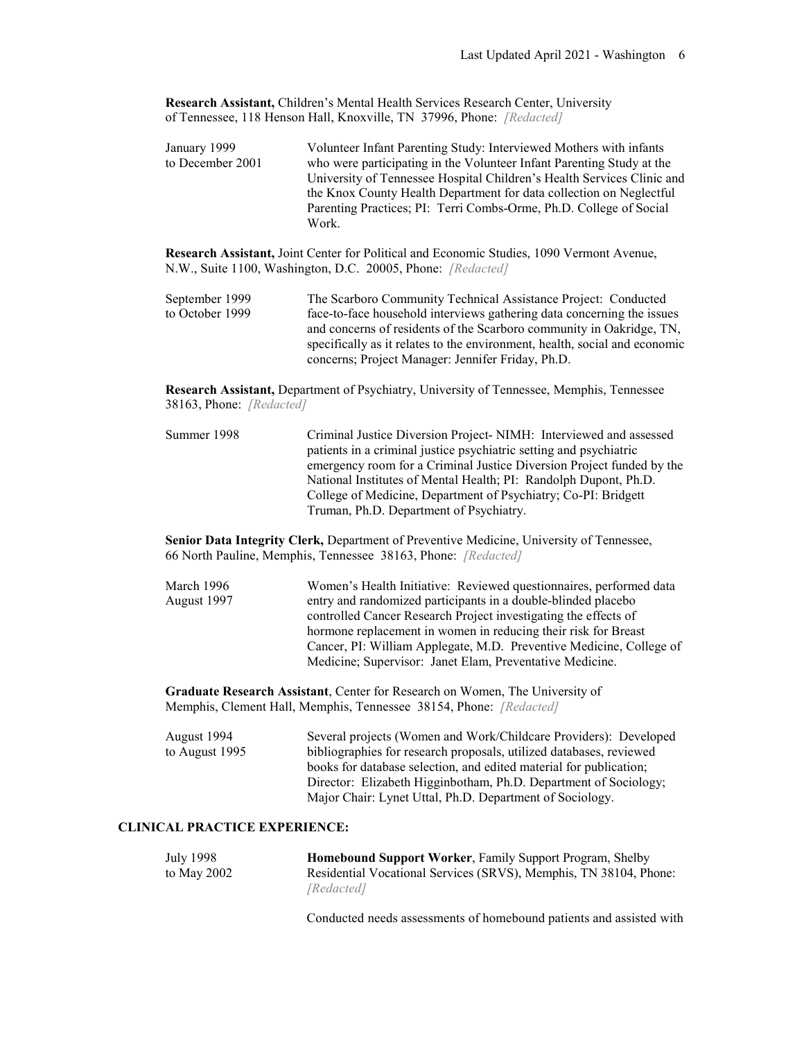**Research Assistant,** Children's Mental Health Services Research Center, University of Tennessee, 118 Henson Hall, Knoxville, TN 37996, Phone: *[Redacted]*

January 1999 Volunteer Infant Parenting Study: Interviewed Mothers with infants to December 2001 who were participating in the Volunteer Infant Parenting Study at the University of Tennessee Hospital Children's Health Services Clinic and the Knox County Health Department for data collection on Neglectful Parenting Practices; PI: Terri Combs-Orme, Ph.D. College of Social Work.

**Research Assistant,** Joint Center for Political and Economic Studies, 1090 Vermont Avenue, N.W., Suite 1100, Washington, D.C. 20005, Phone: *[Redacted]*

September 1999 The Scarboro Community Technical Assistance Project: Conducted to October 1999 face-to-face household interviews gathering data concerning the issues and concerns of residents of the Scarboro community in Oakridge, TN, specifically as it relates to the environment, health, social and economic concerns; Project Manager: Jennifer Friday, Ph.D.

**Research Assistant,** Department of Psychiatry, University of Tennessee, Memphis, Tennessee 38163, Phone: *[Redacted]*

Summer 1998 Criminal Justice Diversion Project- NIMH: Interviewed and assessed patients in a criminal justice psychiatric setting and psychiatric emergency room for a Criminal Justice Diversion Project funded by the National Institutes of Mental Health; PI: Randolph Dupont, Ph.D. College of Medicine, Department of Psychiatry; Co-PI: Bridgett Truman, Ph.D. Department of Psychiatry.

**Senior Data Integrity Clerk,** Department of Preventive Medicine, University of Tennessee, 66 North Pauline, Memphis, Tennessee 38163, Phone: *[Redacted]*

March 1996 Women's Health Initiative: Reviewed questionnaires, performed data August 1997 entry and randomized participants in a double-blinded placebo controlled Cancer Research Project investigating the effects of hormone replacement in women in reducing their risk for Breast Cancer, PI: William Applegate, M.D. Preventive Medicine, College of Medicine; Supervisor: Janet Elam, Preventative Medicine.

**Graduate Research Assistant**, Center for Research on Women, The University of Memphis, Clement Hall, Memphis, Tennessee 38154, Phone: *[Redacted]*

| August 1994    | Several projects (Women and Work/Childcare Providers): Developed    |
|----------------|---------------------------------------------------------------------|
| to August 1995 | bibliographies for research proposals, utilized databases, reviewed |
|                | books for database selection, and edited material for publication;  |
|                | Director: Elizabeth Higginbotham, Ph.D. Department of Sociology;    |
|                | Major Chair: Lynet Uttal, Ph.D. Department of Sociology.            |

### **CLINICAL PRACTICE EXPERIENCE:**

| July 1998   | <b>Homebound Support Worker, Family Support Program, Shelby</b>   |
|-------------|-------------------------------------------------------------------|
| to May 2002 | Residential Vocational Services (SRVS), Memphis, TN 38104, Phone: |
|             | [Redacted]                                                        |

Conducted needs assessments of homebound patients and assisted with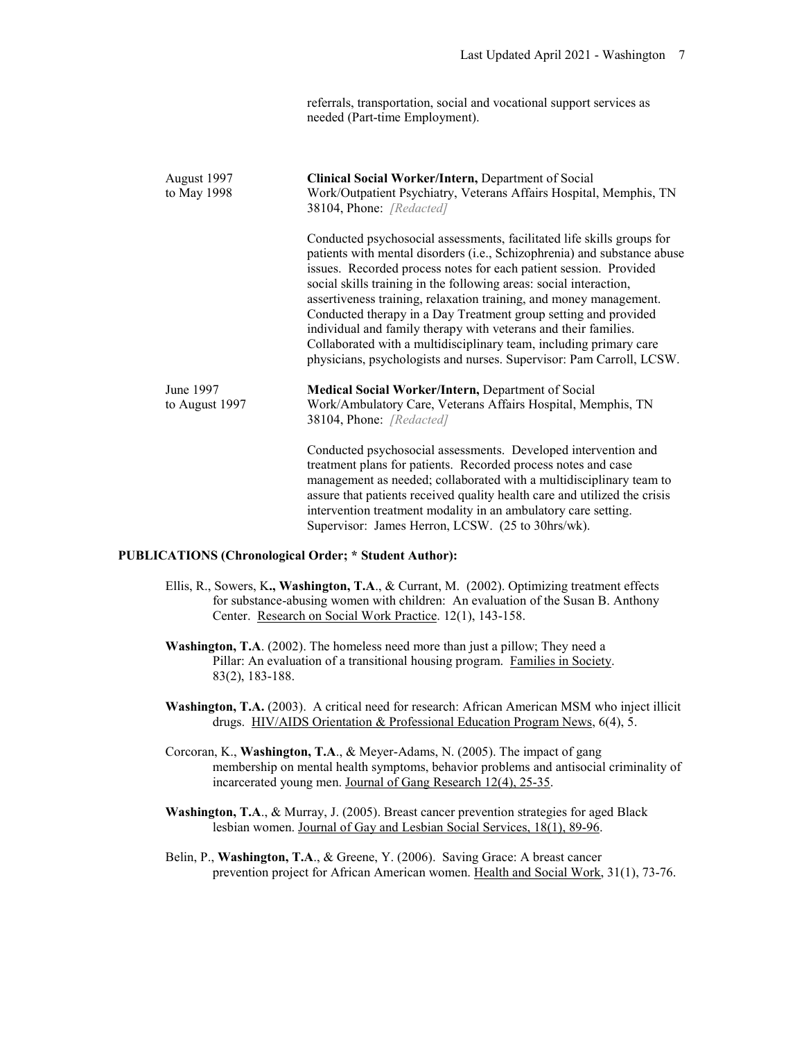referrals, transportation, social and vocational support services as needed (Part-time Employment).

| August 1997<br>to May 1998  | Clinical Social Worker/Intern, Department of Social<br>Work/Outpatient Psychiatry, Veterans Affairs Hospital, Memphis, TN<br>38104, Phone: [Redacted]                                                                                                                                                                                                                                                                                                                                                                                                                                                                                                   |
|-----------------------------|---------------------------------------------------------------------------------------------------------------------------------------------------------------------------------------------------------------------------------------------------------------------------------------------------------------------------------------------------------------------------------------------------------------------------------------------------------------------------------------------------------------------------------------------------------------------------------------------------------------------------------------------------------|
|                             | Conducted psychosocial assessments, facilitated life skills groups for<br>patients with mental disorders (i.e., Schizophrenia) and substance abuse<br>issues. Recorded process notes for each patient session. Provided<br>social skills training in the following areas: social interaction,<br>assertiveness training, relaxation training, and money management.<br>Conducted therapy in a Day Treatment group setting and provided<br>individual and family therapy with veterans and their families.<br>Collaborated with a multidisciplinary team, including primary care<br>physicians, psychologists and nurses. Supervisor: Pam Carroll, LCSW. |
| June 1997<br>to August 1997 | <b>Medical Social Worker/Intern, Department of Social</b><br>Work/Ambulatory Care, Veterans Affairs Hospital, Memphis, TN<br>38104, Phone: [Redacted]                                                                                                                                                                                                                                                                                                                                                                                                                                                                                                   |
|                             | Conducted psychosocial assessments. Developed intervention and<br>treatment plans for patients. Recorded process notes and case                                                                                                                                                                                                                                                                                                                                                                                                                                                                                                                         |

management as needed; collaborated with a multidisciplinary team to assure that patients received quality health care and utilized the crisis intervention treatment modality in an ambulatory care setting. Supervisor: James Herron, LCSW. (25 to 30hrs/wk).

## **PUBLICATIONS (Chronological Order; \* Student Author):**

Ellis, R., Sowers, K**., Washington, T.A**., & Currant, M. (2002). Optimizing treatment effects for substance-abusing women with children: An evaluation of the Susan B. Anthony Center. Research on Social Work Practice. 12(1), 143-158.

**Washington, T.A**. (2002). The homeless need more than just a pillow; They need a Pillar: An evaluation of a transitional housing program. Families in Society. 83(2), 183-188.

- **Washington, T.A.** (2003). A critical need for research: African American MSM who inject illicit drugs. HIV/AIDS Orientation & Professional Education Program News, 6(4), 5.
- Corcoran, K., **Washington, T.A**., & Meyer-Adams, N. (2005). The impact of gang membership on mental health symptoms, behavior problems and antisocial criminality of incarcerated young men. Journal of Gang Research 12(4), 25-35.

**Washington, T.A**., & Murray, J. (2005). Breast cancer prevention strategies for aged Black lesbian women. Journal of Gay and Lesbian Social Services, 18(1), 89-96.

Belin, P., **Washington, T.A**., & Greene, Y. (2006). Saving Grace: A breast cancer prevention project for African American women. Health and Social Work, 31(1), 73-76.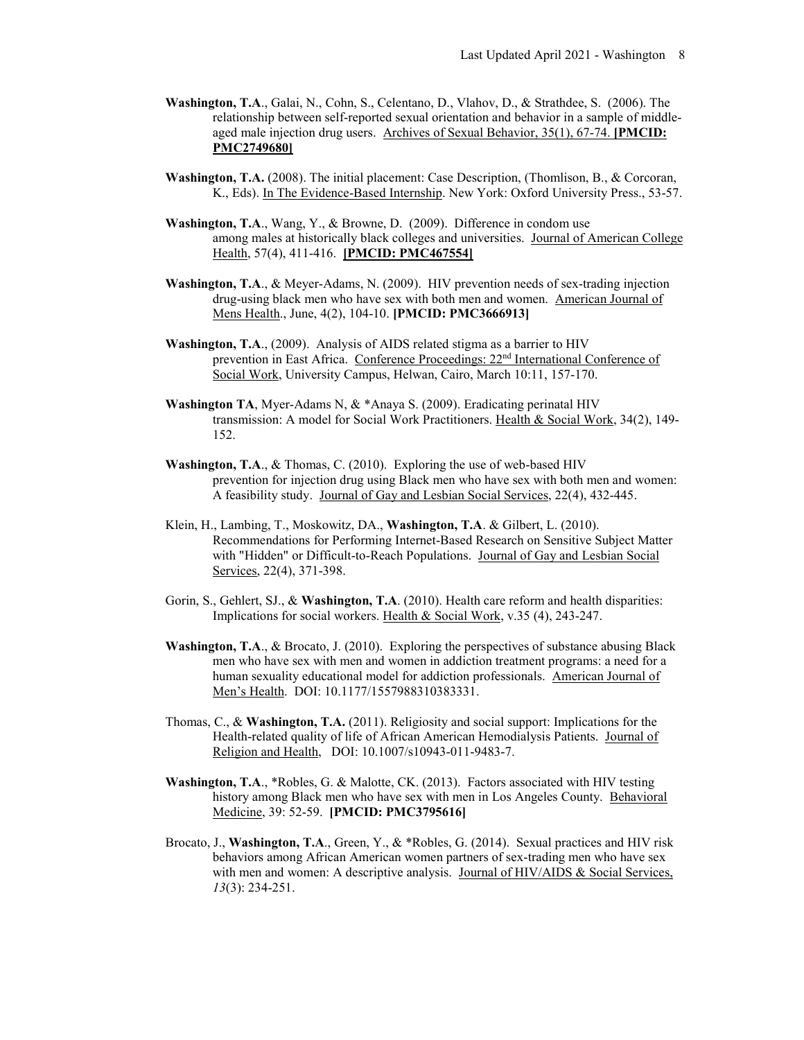- **Washington, T.A**., Galai, N., Cohn, S., Celentano, D., Vlahov, D., & Strathdee, S. (2006). The relationship between self-reported sexual orientation and behavior in a sample of middleaged male injection drug users. Archives of Sexual Behavior, 35(1), 67-74. **[PMCID: PMC2749680]**
- **Washington, T.A.** (2008). The initial placement: Case Description, (Thomlison, B., & Corcoran, K., Eds). In The Evidence-Based Internship. New York: Oxford University Press., 53-57.
- **Washington, T.A**., Wang, Y., & Browne, D. (2009). Difference in condom use among males at historically black colleges and universities. Journal of American College Health, 57(4), 411-416. **[PMCID: PMC467554]**
- **Washington, T.A**., & Meyer-Adams, N. (2009). HIV prevention needs of sex-trading injection drug-using black men who have sex with both men and women. American Journal of Mens Health., June, 4(2), 104-10. **[PMCID: PMC3666913]**
- **Washington, T.A**., (2009). Analysis of AIDS related stigma as a barrier to HIV prevention in East Africa. Conference Proceedings: 22nd International Conference of Social Work, University Campus, Helwan, Cairo, March 10:11, 157-170.
- **Washington TA**, Myer-Adams N, & \*Anaya S. (2009). Eradicating perinatal HIV transmission: A model for Social Work Practitioners. Health & Social Work, 34(2), 149- 152.
- **Washington, T.A**., & Thomas, C. (2010). Exploring the use of web-based HIV prevention for injection drug using Black men who have sex with both men and women: A feasibility study. Journal of Gay and Lesbian Social Services, 22(4), 432-445.
- Klein, H., Lambing, T., Moskowitz, DA., **Washington, T.A**. & Gilbert, L. (2010). Recommendations for Performing Internet-Based Research on Sensitive Subject Matter with "Hidden" or Difficult-to-Reach Populations. Journal of Gay and Lesbian Social Services, 22(4), 371-398.
- Gorin, S., Gehlert, SJ., & **Washington, T.A**. (2010). Health care reform and health disparities: Implications for social workers. Health & Social Work, v.35 (4), 243-247.
- **Washington, T.A**., & Brocato, J. (2010). Exploring the perspectives of substance abusing Black men who have sex with men and women in addiction treatment programs: a need for a human sexuality educational model for addiction professionals. American Journal of Men's Health. DOI: 10.1177/1557988310383331.
- Thomas, C., & **Washington, T.A.** (2011). Religiosity and social support: Implications for the Health-related quality of life of African American Hemodialysis Patients. Journal of Religion and Health, DOI: 10.1007/s10943-011-9483-7.
- **Washington, T.A**., \*Robles, G. & Malotte, CK. (2013). Factors associated with HIV testing history among Black men who have sex with men in Los Angeles County. Behavioral Medicine, 39: 52-59. **[PMCID: PMC3795616]**
- Brocato, J., **Washington, T.A**., Green, Y., & \*Robles, G. (2014). Sexual practices and HIV risk behaviors among African American women partners of sex-trading men who have sex with men and women: A descriptive analysis. Journal of HIV/AIDS & Social Services, *13*(3): 234-251.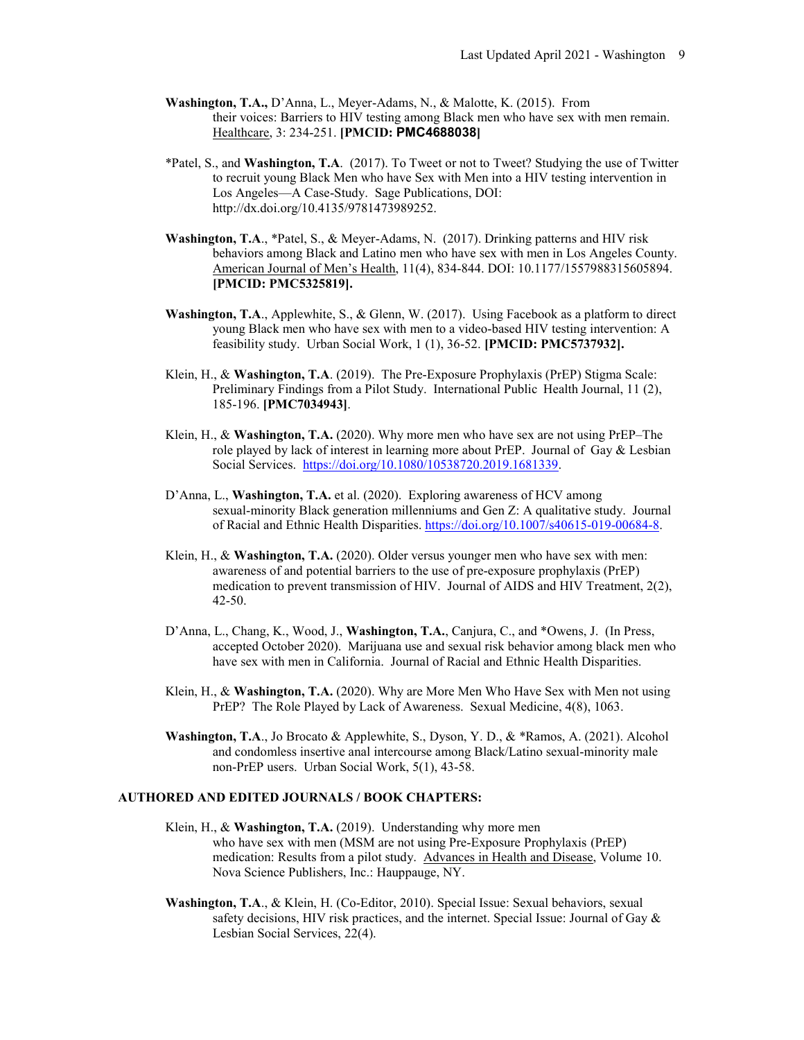- **Washington, T.A.,** D'Anna, L., Meyer-Adams, N., & Malotte, K. (2015). From their voices: Barriers to HIV testing among Black men who have sex with men remain. Healthcare, 3: 234-251. **[PMCID: PMC4688038]**
- \*Patel, S., and **Washington, T.A**. (2017). To Tweet or not to Tweet? Studying the use of Twitter to recruit young Black Men who have Sex with Men into a HIV testing intervention in Los Angeles—A Case-Study. Sage Publications, DOI: http://dx.doi.org/10.4135/9781473989252.
- **Washington, T.A**., \*Patel, S., & Meyer-Adams, N. (2017). Drinking patterns and HIV risk behaviors among Black and Latino men who have sex with men in Los Angeles County. American Journal of Men's Health, 11(4), 834-844. DOI: 10.1177/1557988315605894. **[PMCID: PMC5325819].**
- **Washington, T.A**., Applewhite, S., & Glenn, W. (2017). Using Facebook as a platform to direct young Black men who have sex with men to a video-based HIV testing intervention: A feasibility study. Urban Social Work, 1 (1), 36-52. **[PMCID: PMC5737932].**
- Klein, H., & **Washington, T.A**. (2019). The Pre-Exposure Prophylaxis (PrEP) Stigma Scale: Preliminary Findings from a Pilot Study. International Public Health Journal, 11 (2), 185-196. **[PMC7034943]**.
- Klein, H., & **Washington, T.A.** (2020). Why more men who have sex are not using PrEP–The role played by lack of interest in learning more about PrEP. Journal of Gay & Lesbian Social Services. [https://doi.org/10.1080/10538720.2019.1681339.](https://doi.org/10.1080/10538720.2019.1681339)
- D'Anna, L., **Washington, T.A.** et al. (2020). Exploring awareness of HCV among sexual-minority Black generation millenniums and Gen Z: A qualitative study. Journal of Racial and Ethnic Health Disparities. [https://doi.org/10.1007/s40615-019-00684-8.](https://doi.org/10.1007/s40615-019-00684-8)
- Klein, H., & **Washington, T.A.** (2020). Older versus younger men who have sex with men: awareness of and potential barriers to the use of pre-exposure prophylaxis (PrEP) medication to prevent transmission of HIV. Journal of AIDS and HIV Treatment, 2(2), 42-50.
- D'Anna, L., Chang, K., Wood, J., **Washington, T.A.**, Canjura, C., and \*Owens, J. (In Press, accepted October 2020). Marijuana use and sexual risk behavior among black men who have sex with men in California. Journal of Racial and Ethnic Health Disparities.
- Klein, H., & **Washington, T.A.** (2020). Why are More Men Who Have Sex with Men not using PrEP? The Role Played by Lack of Awareness. Sexual Medicine, 4(8), 1063.
- **Washington, T.A**., Jo Brocato & Applewhite, S., Dyson, Y. D., & \*Ramos, A. (2021). Alcohol and condomless insertive anal intercourse among Black/Latino sexual-minority male non-PrEP users. Urban Social Work, 5(1), 43-58.

### **AUTHORED AND EDITED JOURNALS / BOOK CHAPTERS:**

- Klein, H., & **Washington, T.A.** (2019). Understanding why more men who have sex with men (MSM are not using Pre-Exposure Prophylaxis (PrEP) medication: Results from a pilot study. Advances in Health and Disease, Volume 10. Nova Science Publishers, Inc.: Hauppauge, NY.
- **Washington, T.A**., & Klein, H. (Co-Editor, 2010). Special Issue: Sexual behaviors, sexual safety decisions, HIV risk practices, and the internet. Special Issue: Journal of Gay & Lesbian Social Services, 22(4).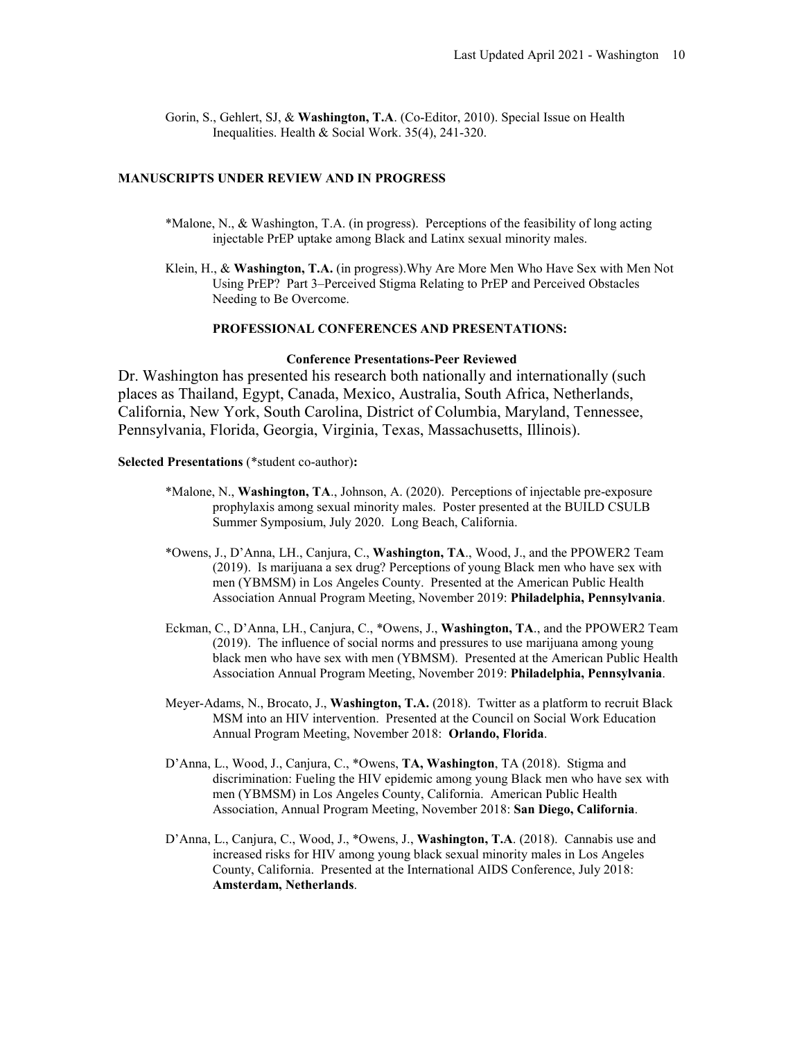Gorin, S., Gehlert, SJ, & **Washington, T.A**. (Co-Editor, 2010). Special Issue on Health Inequalities. Health & Social Work. 35(4), 241-320.

### **MANUSCRIPTS UNDER REVIEW AND IN PROGRESS**

- \*Malone, N., & Washington, T.A. (in progress). Perceptions of the feasibility of long acting injectable PrEP uptake among Black and Latinx sexual minority males.
- Klein, H., & **Washington, T.A.** (in progress).Why Are More Men Who Have Sex with Men Not Using PrEP? Part 3–Perceived Stigma Relating to PrEP and Perceived Obstacles Needing to Be Overcome.

# **PROFESSIONAL CONFERENCES AND PRESENTATIONS:**

### **Conference Presentations-Peer Reviewed**

Dr. Washington has presented his research both nationally and internationally (such places as Thailand, Egypt, Canada, Mexico, Australia, South Africa, Netherlands, California, New York, South Carolina, District of Columbia, Maryland, Tennessee, Pennsylvania, Florida, Georgia, Virginia, Texas, Massachusetts, Illinois).

# **Selected Presentations** (\*student co-author)**:**

- \*Malone, N., **Washington, TA**., Johnson, A. (2020). Perceptions of injectable pre-exposure prophylaxis among sexual minority males. Poster presented at the BUILD CSULB Summer Symposium, July 2020. Long Beach, California.
- \*Owens, J., D'Anna, LH., Canjura, C., **Washington, TA**., Wood, J., and the PPOWER2 Team (2019). Is marijuana a sex drug? Perceptions of young Black men who have sex with men (YBMSM) in Los Angeles County. Presented at the American Public Health Association Annual Program Meeting, November 2019: **Philadelphia, Pennsylvania**.
- Eckman, C., D'Anna, LH., Canjura, C., \*Owens, J., **Washington, TA**., and the PPOWER2 Team (2019). The influence of social norms and pressures to use marijuana among young black men who have sex with men (YBMSM). Presented at the American Public Health Association Annual Program Meeting, November 2019: **Philadelphia, Pennsylvania**.
- Meyer-Adams, N., Brocato, J., **Washington, T.A.** (2018). Twitter as a platform to recruit Black MSM into an HIV intervention. Presented at the Council on Social Work Education Annual Program Meeting, November 2018: **Orlando, Florida**.
- D'Anna, L., Wood, J., Canjura, C., \*Owens, **TA, Washington**, TA (2018). Stigma and discrimination: Fueling the HIV epidemic among young Black men who have sex with men (YBMSM) in Los Angeles County, California. American Public Health Association, Annual Program Meeting, November 2018: **San Diego, California**.
- D'Anna, L., Canjura, C., Wood, J., \*Owens, J., **Washington, T.A**. (2018). Cannabis use and increased risks for HIV among young black sexual minority males in Los Angeles County, California. Presented at the International AIDS Conference, July 2018: **Amsterdam, Netherlands**.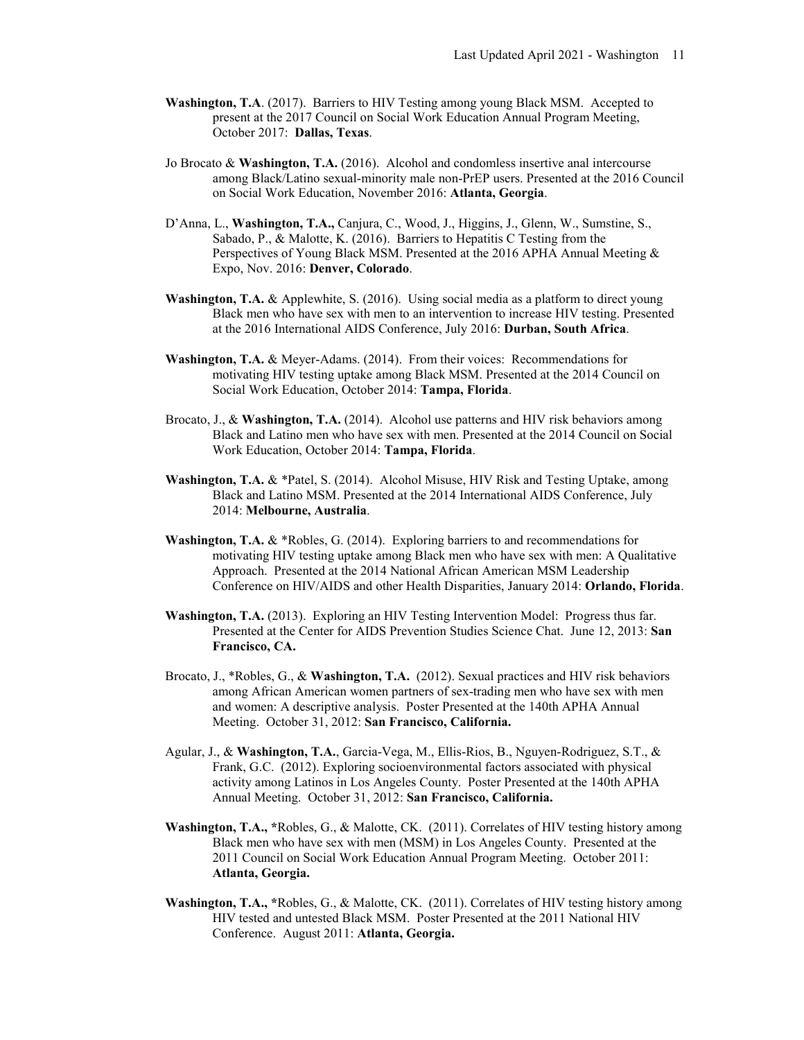- **Washington, T.A**. (2017). Barriers to HIV Testing among young Black MSM. Accepted to present at the 2017 Council on Social Work Education Annual Program Meeting, October 2017: **Dallas, Texas**.
- Jo Brocato & **Washington, T.A.** (2016). Alcohol and condomless insertive anal intercourse among Black/Latino sexual-minority male non-PrEP users. Presented at the 2016 Council on Social Work Education, November 2016: **Atlanta, Georgia**.
- D'Anna, L., **Washington, T.A.,** Canjura, C., Wood, J., Higgins, J., Glenn, W., Sumstine, S., Sabado, P., & Malotte, K. (2016). Barriers to Hepatitis C Testing from the Perspectives of Young Black MSM. Presented at the 2016 APHA Annual Meeting & Expo, Nov. 2016: **Denver, Colorado**.
- **Washington, T.A.** & Applewhite, S. (2016). Using social media as a platform to direct young Black men who have sex with men to an intervention to increase HIV testing. Presented at the 2016 International AIDS Conference, July 2016: **Durban, South Africa**.
- **Washington, T.A.** & Meyer-Adams. (2014). From their voices: Recommendations for motivating HIV testing uptake among Black MSM. Presented at the 2014 Council on Social Work Education, October 2014: **Tampa, Florida**.
- Brocato, J., & **Washington, T.A.** (2014). Alcohol use patterns and HIV risk behaviors among Black and Latino men who have sex with men. Presented at the 2014 Council on Social Work Education, October 2014: **Tampa, Florida**.
- **Washington, T.A.** & \*Patel, S. (2014). Alcohol Misuse, HIV Risk and Testing Uptake, among Black and Latino MSM. Presented at the 2014 International AIDS Conference, July 2014: **Melbourne, Australia**.
- **Washington, T.A.** & \*Robles, G. (2014). Exploring barriers to and recommendations for motivating HIV testing uptake among Black men who have sex with men: A Qualitative Approach. Presented at the 2014 National African American MSM Leadership Conference on HIV/AIDS and other Health Disparities, January 2014: **Orlando, Florida**.
- **Washington, T.A.** (2013). Exploring an HIV Testing Intervention Model: Progress thus far. Presented at the Center for AIDS Prevention Studies Science Chat. June 12, 2013: **San Francisco, CA.**
- Brocato, J., \*Robles, G., & **Washington, T.A.** (2012). Sexual practices and HIV risk behaviors among African American women partners of sex-trading men who have sex with men and women: A descriptive analysis. Poster Presented at the 140th APHA Annual Meeting. October 31, 2012: **San Francisco, California.**
- Agular, J., & **Washington, T.A.**, Garcia-Vega, M., Ellis-Rios, B., Nguyen-Rodriguez, S.T., & Frank, G.C. (2012). Exploring socioenvironmental factors associated with physical activity among Latinos in Los Angeles County. Poster Presented at the 140th APHA Annual Meeting. October 31, 2012: **San Francisco, California.**
- **Washington, T.A., \***Robles, G., & Malotte, CK. (2011). Correlates of HIV testing history among Black men who have sex with men (MSM) in Los Angeles County. Presented at the 2011 Council on Social Work Education Annual Program Meeting. October 2011: **Atlanta, Georgia.**
- **Washington, T.A., \***Robles, G., & Malotte, CK. (2011). Correlates of HIV testing history among HIV tested and untested Black MSM. Poster Presented at the 2011 National HIV Conference. August 2011: **Atlanta, Georgia.**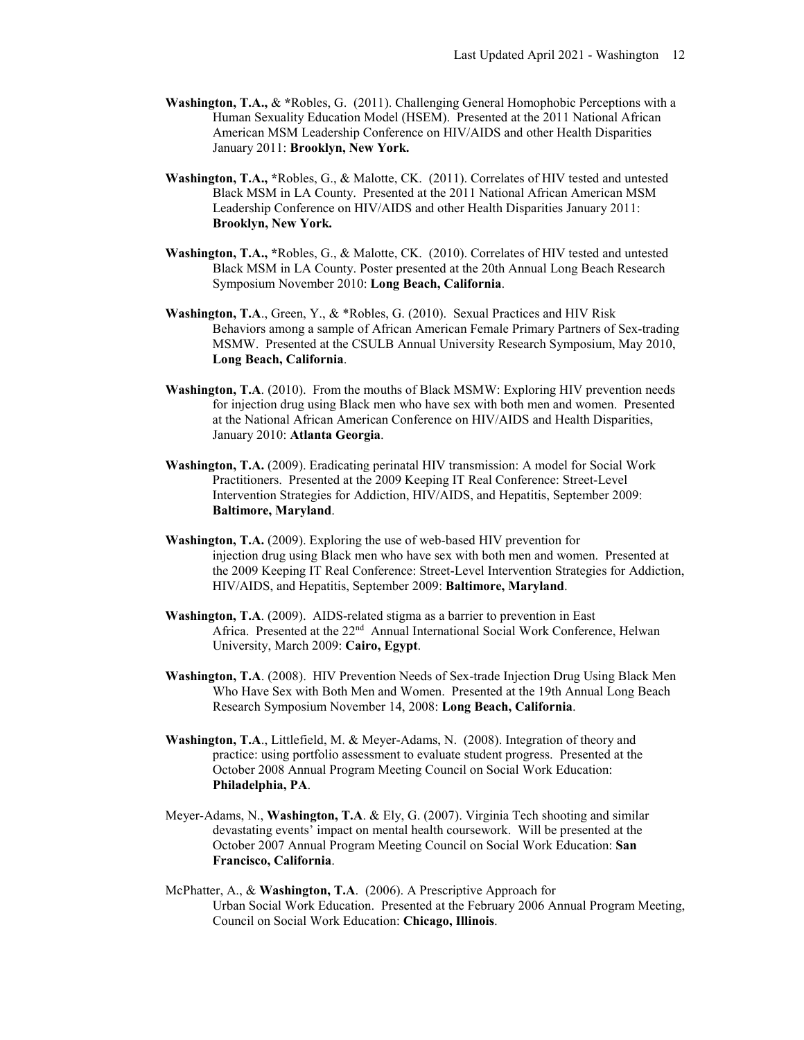- **Washington, T.A.,** & **\***Robles, G. (2011). Challenging General Homophobic Perceptions with a Human Sexuality Education Model (HSEM). Presented at the 2011 National African American MSM Leadership Conference on HIV/AIDS and other Health Disparities January 2011: **Brooklyn, New York.**
- **Washington, T.A., \***Robles, G., & Malotte, CK. (2011). Correlates of HIV tested and untested Black MSM in LA County. Presented at the 2011 National African American MSM Leadership Conference on HIV/AIDS and other Health Disparities January 2011: **Brooklyn, New York.**
- **Washington, T.A., \***Robles, G., & Malotte, CK. (2010). Correlates of HIV tested and untested Black MSM in LA County. Poster presented at the 20th Annual Long Beach Research Symposium November 2010: **Long Beach, California**.
- **Washington, T.A**., Green, Y., & \*Robles, G. (2010). Sexual Practices and HIV Risk Behaviors among a sample of African American Female Primary Partners of Sex-trading MSMW. Presented at the CSULB Annual University Research Symposium, May 2010, **Long Beach, California**.
- **Washington, T.A**. (2010). From the mouths of Black MSMW: Exploring HIV prevention needs for injection drug using Black men who have sex with both men and women. Presented at the National African American Conference on HIV/AIDS and Health Disparities, January 2010: **Atlanta Georgia**.
- **Washington, T.A.** (2009). Eradicating perinatal HIV transmission: A model for Social Work Practitioners. Presented at the 2009 Keeping IT Real Conference: Street-Level Intervention Strategies for Addiction, HIV/AIDS, and Hepatitis, September 2009: **Baltimore, Maryland**.
- **Washington, T.A.** (2009). Exploring the use of web-based HIV prevention for injection drug using Black men who have sex with both men and women. Presented at the 2009 Keeping IT Real Conference: Street-Level Intervention Strategies for Addiction, HIV/AIDS, and Hepatitis, September 2009: **Baltimore, Maryland**.
- **Washington, T.A**. (2009). AIDS-related stigma as a barrier to prevention in East Africa. Presented at the 22<sup>nd</sup> Annual International Social Work Conference, Helwan University, March 2009: **Cairo, Egypt**.
- **Washington, T.A**. (2008). HIV Prevention Needs of Sex-trade Injection Drug Using Black Men Who Have Sex with Both Men and Women. Presented at the 19th Annual Long Beach Research Symposium November 14, 2008: **Long Beach, California**.
- **Washington, T.A**., Littlefield, M. & Meyer-Adams, N. (2008). Integration of theory and practice: using portfolio assessment to evaluate student progress. Presented at the October 2008 Annual Program Meeting Council on Social Work Education: **Philadelphia, PA**.
- Meyer-Adams, N., **Washington, T.A**. & Ely, G. (2007). Virginia Tech shooting and similar devastating events' impact on mental health coursework. Will be presented at the October 2007 Annual Program Meeting Council on Social Work Education: **San Francisco, California**.
- McPhatter, A., & **Washington, T.A**. (2006). A Prescriptive Approach for Urban Social Work Education. Presented at the February 2006 Annual Program Meeting, Council on Social Work Education: **Chicago, Illinois**.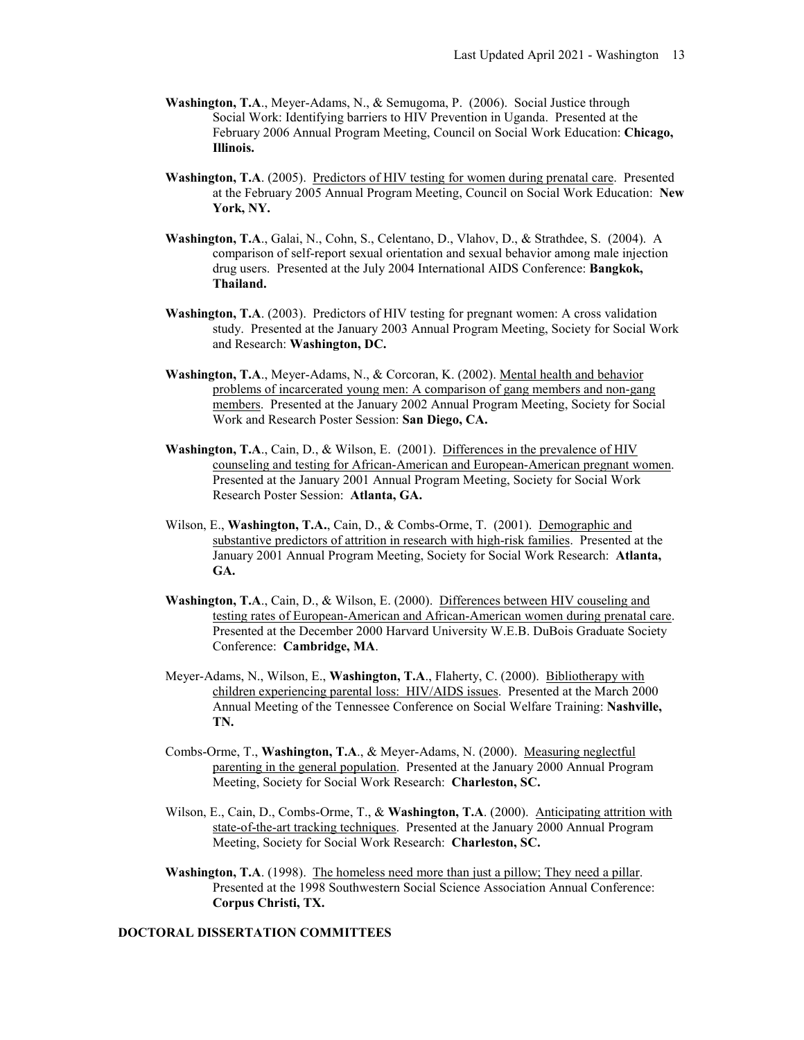- **Washington, T.A**., Meyer-Adams, N., & Semugoma, P. (2006). Social Justice through Social Work: Identifying barriers to HIV Prevention in Uganda. Presented at the February 2006 Annual Program Meeting, Council on Social Work Education: **Chicago, Illinois.**
- **Washington, T.A**. (2005). Predictors of HIV testing for women during prenatal care. Presented at the February 2005 Annual Program Meeting, Council on Social Work Education: **New York, NY.**
- **Washington, T.A**., Galai, N., Cohn, S., Celentano, D., Vlahov, D., & Strathdee, S. (2004). A comparison of self-report sexual orientation and sexual behavior among male injection drug users. Presented at the July 2004 International AIDS Conference: **Bangkok, Thailand.**
- **Washington, T.A**. (2003). Predictors of HIV testing for pregnant women: A cross validation study. Presented at the January 2003 Annual Program Meeting, Society for Social Work and Research: **Washington, DC.**
- **Washington, T.A**., Meyer-Adams, N., & Corcoran, K. (2002). Mental health and behavior problems of incarcerated young men: A comparison of gang members and non-gang members. Presented at the January 2002 Annual Program Meeting, Society for Social Work and Research Poster Session: **San Diego, CA.**
- **Washington, T.A**., Cain, D., & Wilson, E. (2001). Differences in the prevalence of HIV counseling and testing for African-American and European-American pregnant women. Presented at the January 2001 Annual Program Meeting, Society for Social Work Research Poster Session: **Atlanta, GA.**
- Wilson, E., **Washington, T.A.**, Cain, D., & Combs-Orme, T. (2001). Demographic and substantive predictors of attrition in research with high-risk families. Presented at the January 2001 Annual Program Meeting, Society for Social Work Research: **Atlanta, GA.**
- **Washington, T.A**., Cain, D., & Wilson, E. (2000). Differences between HIV couseling and testing rates of European-American and African-American women during prenatal care. Presented at the December 2000 Harvard University W.E.B. DuBois Graduate Society Conference: **Cambridge, MA**.
- Meyer-Adams, N., Wilson, E., **Washington, T.A**., Flaherty, C. (2000). Bibliotherapy with children experiencing parental loss: HIV/AIDS issues. Presented at the March 2000 Annual Meeting of the Tennessee Conference on Social Welfare Training: **Nashville, TN.**
- Combs-Orme, T., **Washington, T.A**., & Meyer-Adams, N. (2000). Measuring neglectful parenting in the general population. Presented at the January 2000 Annual Program Meeting, Society for Social Work Research: **Charleston, SC.**
- Wilson, E., Cain, D., Combs-Orme, T., & **Washington, T.A**. (2000). Anticipating attrition with state-of-the-art tracking techniques. Presented at the January 2000 Annual Program Meeting, Society for Social Work Research: **Charleston, SC.**
- Washington, T.A. (1998). The homeless need more than just a pillow; They need a pillar. Presented at the 1998 Southwestern Social Science Association Annual Conference: **Corpus Christi, TX.**

# **DOCTORAL DISSERTATION COMMITTEES**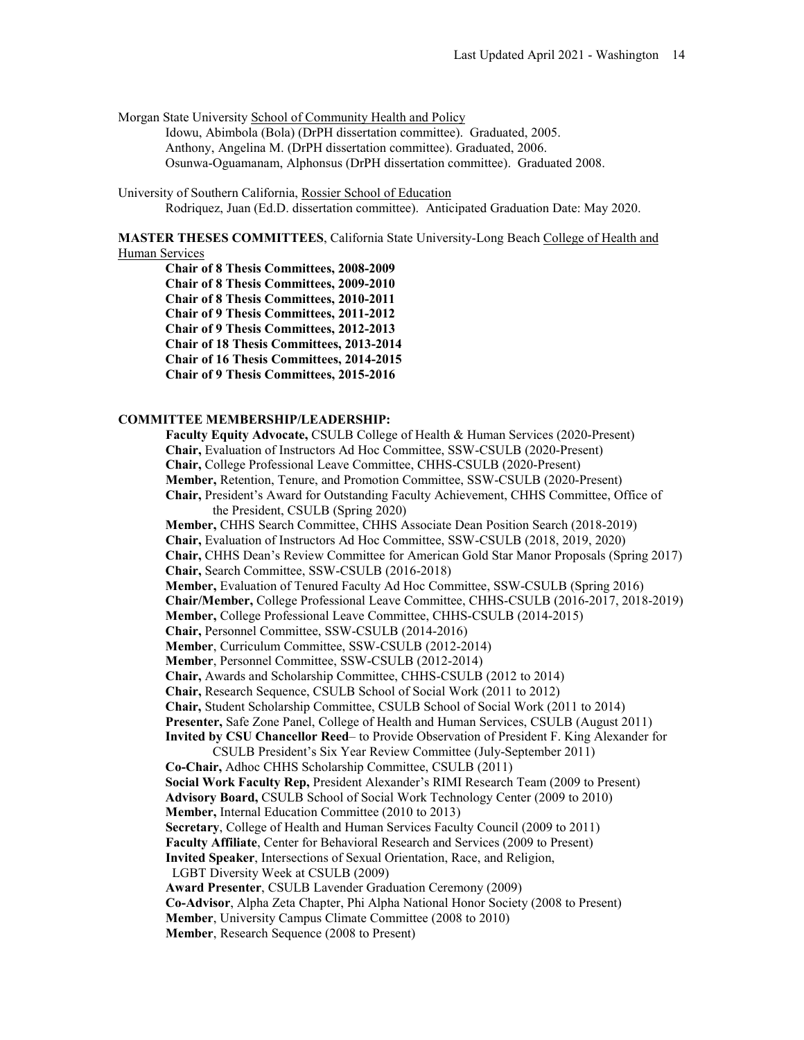Morgan State University School of Community Health and Policy

Idowu, Abimbola (Bola) (DrPH dissertation committee). Graduated, 2005.

Anthony, Angelina M. (DrPH dissertation committee). Graduated, 2006.

Osunwa-Oguamanam, Alphonsus (DrPH dissertation committee). Graduated 2008.

University of Southern California, Rossier School of Education

Rodriquez, Juan (Ed.D. dissertation committee). Anticipated Graduation Date: May 2020.

**MASTER THESES COMMITTEES**, California State University-Long Beach College of Health and Human Services

**Chair of 8 Thesis Committees, 2008-2009 Chair of 8 Thesis Committees, 2009-2010 Chair of 8 Thesis Committees, 2010-2011 Chair of 9 Thesis Committees, 2011-2012 Chair of 9 Thesis Committees, 2012-2013 Chair of 18 Thesis Committees, 2013-2014 Chair of 16 Thesis Committees, 2014-2015 Chair of 9 Thesis Committees, 2015-2016**

#### **COMMITTEE MEMBERSHIP/LEADERSHIP:**

**Faculty Equity Advocate,** CSULB College of Health & Human Services (2020-Present) **Chair,** Evaluation of Instructors Ad Hoc Committee, SSW-CSULB (2020-Present) **Chair,** College Professional Leave Committee, CHHS-CSULB (2020-Present) **Member,** Retention, Tenure, and Promotion Committee, SSW-CSULB (2020-Present) **Chair,** President's Award for Outstanding Faculty Achievement, CHHS Committee, Office of the President, CSULB (Spring 2020) **Member,** CHHS Search Committee, CHHS Associate Dean Position Search (2018-2019) **Chair,** Evaluation of Instructors Ad Hoc Committee, SSW-CSULB (2018, 2019, 2020) **Chair,** CHHS Dean's Review Committee for American Gold Star Manor Proposals (Spring 2017) **Chair,** Search Committee, SSW-CSULB (2016-2018) **Member,** Evaluation of Tenured Faculty Ad Hoc Committee, SSW-CSULB (Spring 2016) **Chair/Member,** College Professional Leave Committee, CHHS-CSULB (2016-2017, 2018-2019) **Member,** College Professional Leave Committee, CHHS-CSULB (2014-2015) **Chair,** Personnel Committee, SSW-CSULB (2014-2016) **Member**, Curriculum Committee, SSW-CSULB (2012-2014) **Member**, Personnel Committee, SSW-CSULB (2012-2014) **Chair,** Awards and Scholarship Committee, CHHS-CSULB (2012 to 2014) **Chair,** Research Sequence, CSULB School of Social Work (2011 to 2012) **Chair,** Student Scholarship Committee, CSULB School of Social Work (2011 to 2014) **Presenter,** Safe Zone Panel, College of Health and Human Services, CSULB (August 2011) **Invited by CSU Chancellor Reed**– to Provide Observation of President F. King Alexander for CSULB President's Six Year Review Committee (July-September 2011) **Co-Chair,** Adhoc CHHS Scholarship Committee, CSULB (2011) **Social Work Faculty Rep,** President Alexander's RIMI Research Team (2009 to Present) **Advisory Board,** CSULB School of Social Work Technology Center (2009 to 2010) **Member,** Internal Education Committee (2010 to 2013) **Secretary**, College of Health and Human Services Faculty Council (2009 to 2011) **Faculty Affiliate**, Center for Behavioral Research and Services (2009 to Present) **Invited Speaker**, Intersections of Sexual Orientation, Race, and Religion, LGBT Diversity Week at CSULB (2009) **Award Presenter**, CSULB Lavender Graduation Ceremony (2009) **Co-Advisor**, Alpha Zeta Chapter, Phi Alpha National Honor Society (2008 to Present) **Member**, University Campus Climate Committee (2008 to 2010) **Member**, Research Sequence (2008 to Present)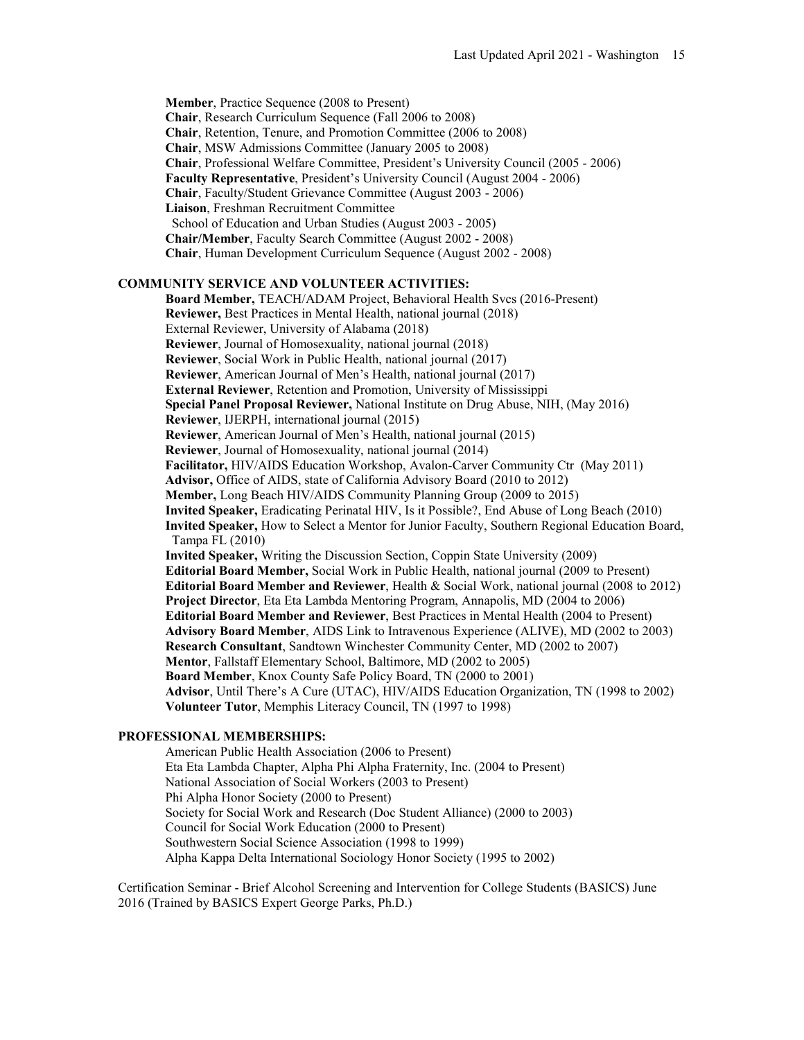**Member**, Practice Sequence (2008 to Present) **Chair**, Research Curriculum Sequence (Fall 2006 to 2008) **Chair**, Retention, Tenure, and Promotion Committee (2006 to 2008) **Chair**, MSW Admissions Committee (January 2005 to 2008) **Chair**, Professional Welfare Committee, President's University Council (2005 - 2006) **Faculty Representative**, President's University Council (August 2004 - 2006) **Chair**, Faculty/Student Grievance Committee (August 2003 - 2006) **Liaison**, Freshman Recruitment Committee School of Education and Urban Studies (August 2003 - 2005) **Chair/Member**, Faculty Search Committee (August 2002 - 2008) **Chair**, Human Development Curriculum Sequence (August 2002 - 2008)

# **COMMUNITY SERVICE AND VOLUNTEER ACTIVITIES:**

**Board Member,** TEACH/ADAM Project, Behavioral Health Svcs (2016-Present) **Reviewer,** Best Practices in Mental Health, national journal (2018) External Reviewer, University of Alabama (2018) **Reviewer**, Journal of Homosexuality, national journal (2018) **Reviewer**, Social Work in Public Health, national journal (2017) **Reviewer**, American Journal of Men's Health, national journal (2017) **External Reviewer**, Retention and Promotion, University of Mississippi **Special Panel Proposal Reviewer,** National Institute on Drug Abuse, NIH, (May 2016) **Reviewer**, IJERPH, international journal (2015) **Reviewer**, American Journal of Men's Health, national journal (2015) **Reviewer**, Journal of Homosexuality, national journal (2014) **Facilitator,** HIV/AIDS Education Workshop, Avalon-Carver Community Ctr (May 2011) **Advisor,** Office of AIDS, state of California Advisory Board (2010 to 2012) **Member,** Long Beach HIV/AIDS Community Planning Group (2009 to 2015) **Invited Speaker,** Eradicating Perinatal HIV, Is it Possible?, End Abuse of Long Beach (2010) **Invited Speaker,** How to Select a Mentor for Junior Faculty, Southern Regional Education Board, Tampa FL (2010) **Invited Speaker,** Writing the Discussion Section, Coppin State University (2009) **Editorial Board Member,** Social Work in Public Health, national journal (2009 to Present) **Editorial Board Member and Reviewer**, Health & Social Work, national journal (2008 to 2012) **Project Director**, Eta Eta Lambda Mentoring Program, Annapolis, MD (2004 to 2006) **Editorial Board Member and Reviewer**, Best Practices in Mental Health (2004 to Present) **Advisory Board Member**, AIDS Link to Intravenous Experience (ALIVE), MD (2002 to 2003) **Research Consultant**, Sandtown Winchester Community Center, MD (2002 to 2007) **Mentor**, Fallstaff Elementary School, Baltimore, MD (2002 to 2005) **Board Member**, Knox County Safe Policy Board, TN (2000 to 2001) **Advisor**, Until There's A Cure (UTAC), HIV/AIDS Education Organization, TN (1998 to 2002) **Volunteer Tutor**, Memphis Literacy Council, TN (1997 to 1998)

## **PROFESSIONAL MEMBERSHIPS:**

American Public Health Association (2006 to Present) Eta Eta Lambda Chapter, Alpha Phi Alpha Fraternity, Inc. (2004 to Present) National Association of Social Workers (2003 to Present) Phi Alpha Honor Society (2000 to Present) Society for Social Work and Research (Doc Student Alliance) (2000 to 2003) Council for Social Work Education (2000 to Present) Southwestern Social Science Association (1998 to 1999) Alpha Kappa Delta International Sociology Honor Society (1995 to 2002)

Certification Seminar - Brief Alcohol Screening and Intervention for College Students (BASICS) June 2016 (Trained by BASICS Expert George Parks, Ph.D.)